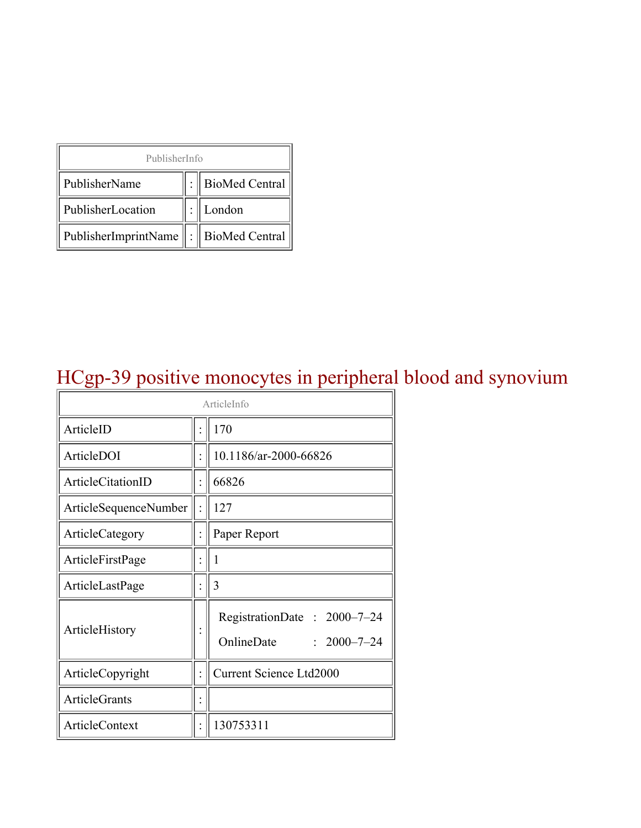| PublisherInfo                               |  |                    |  |  |
|---------------------------------------------|--|--------------------|--|--|
| PublisherName                               |  | :   BioMed Central |  |  |
| PublisherLocation                           |  | London             |  |  |
| PublisherImprintName    :    BioMed Central |  |                    |  |  |

# HCgp-39 positive monocytes in peripheral blood and synovium

| ArticleInfo           |  |                                                                |
|-----------------------|--|----------------------------------------------------------------|
| ArticleID             |  | 170                                                            |
| ArticleDOI            |  | 10.1186/ar-2000-66826                                          |
| ArticleCitationID     |  | 66826                                                          |
| ArticleSequenceNumber |  | 127                                                            |
| ArticleCategory       |  | Paper Report                                                   |
| ArticleFirstPage      |  | 1                                                              |
| ArticleLastPage       |  | 3                                                              |
| ArticleHistory        |  | RegistrationDate: 2000-7-24<br>OnlineDate<br>$: 2000 - 7 - 24$ |
| ArticleCopyright      |  | <b>Current Science Ltd2000</b>                                 |
| ArticleGrants         |  |                                                                |
| ArticleContext        |  | 130753311                                                      |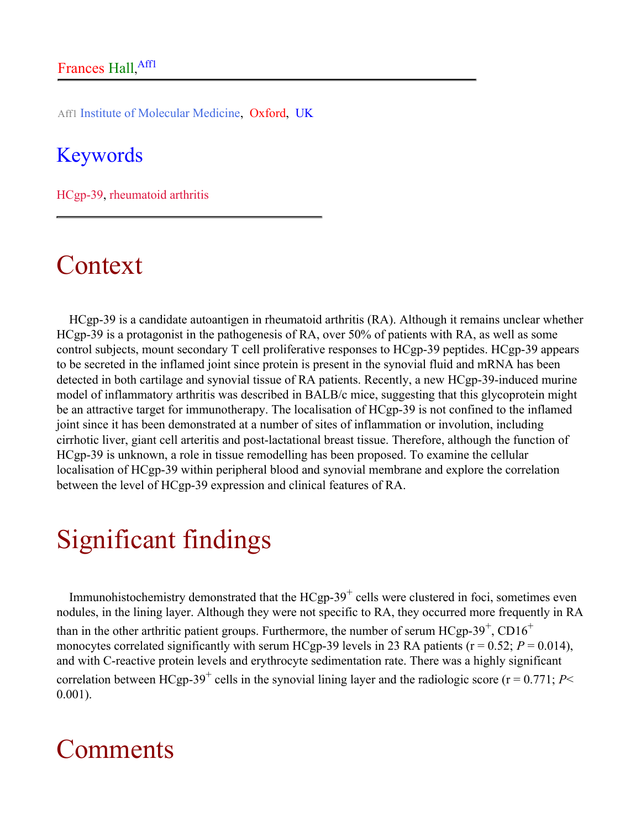Aff1 Institute of Molecular Medicine, Oxford, UK

#### Keywords

HCgp-39, rheumatoid arthritis

### Context

HCgp-39 is a candidate autoantigen in rheumatoid arthritis (RA). Although it remains unclear whether HCgp-39 is a protagonist in the pathogenesis of RA, over 50% of patients with RA, as well as some control subjects, mount secondary T cell proliferative responses to HCgp-39 peptides. HCgp-39 appears to be secreted in the inflamed joint since protein is present in the synovial fluid and mRNA has been detected in both cartilage and synovial tissue of RA patients. Recently, a new HCgp-39-induced murine model of inflammatory arthritis was described in BALB/c mice, suggesting that this glycoprotein might be an attractive target for immunotherapy. The localisation of HCgp-39 is not confined to the inflamed joint since it has been demonstrated at a number of sites of inflammation or involution, including cirrhotic liver, giant cell arteritis and post-lactational breast tissue. Therefore, although the function of HCgp-39 is unknown, a role in tissue remodelling has been proposed. To examine the cellular localisation of HCgp-39 within peripheral blood and synovial membrane and explore the correlation between the level of HCgp-39 expression and clinical features of RA.

## Significant findings

Immunohistochemistry demonstrated that the  $HCgp-39^+$  cells were clustered in foci, sometimes even nodules, in the lining layer. Although they were not specific to RA, they occurred more frequently in RA than in the other arthritic patient groups. Furthermore, the number of serum  $HCgp-39^+$ ,  $CD16^+$ monocytes correlated significantly with serum HCgp-39 levels in 23 RA patients ( $r = 0.52$ ;  $P = 0.014$ ), and with C-reactive protein levels and erythrocyte sedimentation rate. There was a highly significant correlation between HCgp-39<sup>+</sup> cells in the synovial lining layer and the radiologic score ( $r = 0.771$ ; *P*< 0.001).

### **Comments**